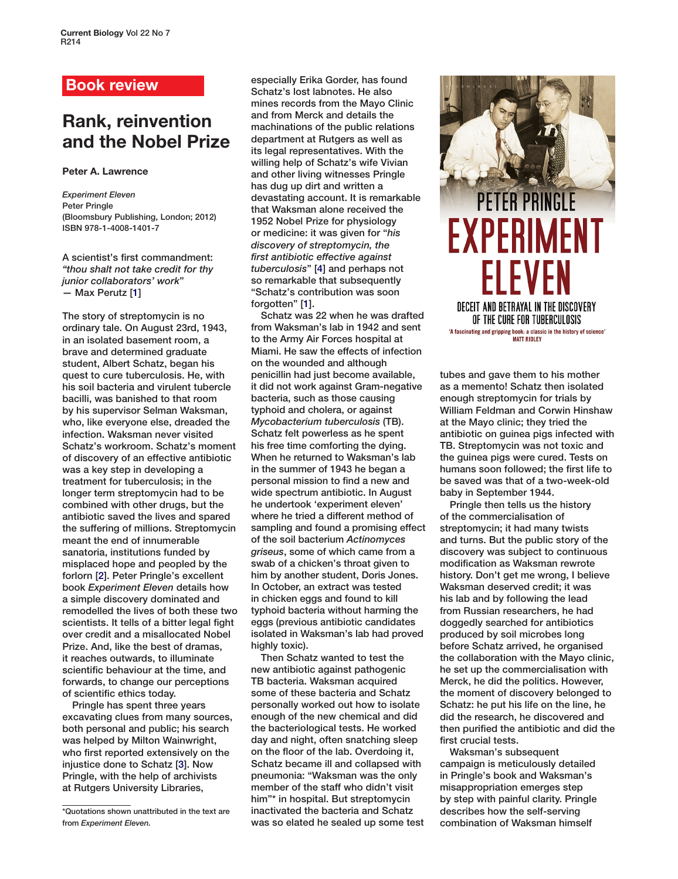### **Book review**

# **Rank, reinvention and the Nobel Prize**

#### **Peter A. Lawrence**

*Experiment Eleven* Peter Pringle (Bloomsbury Publishing, London; 2012) ISBN 978-1-4008-1401-7

A scientist's first commandment: *"thou shalt not take credit for thy junior collaborators' work*" — Max Perutz [1]

The story of streptomycin is no ordinary tale. On August 23rd, 1943, in an isolated basement room, a brave and determined graduate student, Albert Schatz, began his quest to cure tuberculosis. He, with his soil bacteria and virulent tubercle bacilli, was banished to that room by his supervisor Selman Waksman, who, like everyone else, dreaded the infection. Waksman never visited Schatz's workroom. Schatz's moment of discovery of an effective antibiotic was a key step in developing a treatment for tuberculosis; in the longer term streptomycin had to be combined with other drugs, but the antibiotic saved the lives and spared the suffering of millions. Streptomycin meant the end of innumerable sanatoria, institutions funded by misplaced hope and peopled by the forlorn [2]. Peter Pringle's excellent book *Experiment Eleven* details how a simple discovery dominated and remodelled the lives of both these two scientists. It tells of a bitter legal fight over credit and a misallocated Nobel Prize. And, like the best of dramas, it reaches outwards, to illuminate scientific behaviour at the time, and forwards, to change our perceptions of scientific ethics today.

Pringle has spent three years excavating clues from many sources, both personal and public; his search was helped by Milton Wainwright, who first reported extensively on the injustice done to Schatz [3]. Now Pringle, with the help of archivists at Rutgers University Libraries,

\*Quotations shown unattributed in the text are from *Experiment Eleven.*

especially Erika Gorder, has found Schatz's lost labnotes. He also mines records from the Mayo Clinic and from Merck and details the machinations of the public relations department at Rutgers as well as its legal representatives. With the willing help of Schatz's wife Vivian and other living witnesses Pringle has dug up dirt and written a devastating account. It is remarkable that Waksman alone received the 1952 Nobel Prize for physiology or medicine: it was given for "*his discovery of streptomycin, the first antibiotic effective against tuberculosis*" [4] and perhaps not so remarkable that subsequently "Schatz's contribution was soon forgotten" [1].

Schatz was 22 when he was drafted from Waksman's lab in 1942 and sent to the Army Air Forces hospital at Miami. He saw the effects of infection on the wounded and although penicillin had just become available, it did not work against Gram-negative bacteria, such as those causing typhoid and cholera, or against *Mycobacterium tuberculosis* (TB). Schatz felt powerless as he spent his free time comforting the dying. When he returned to Waksman's lab in the summer of 1943 he began a personal mission to find a new and wide spectrum antibiotic. In August he undertook 'experiment eleven' where he tried a different method of sampling and found a promising effect of the soil bacterium *Actinomyces griseus*, some of which came from a swab of a chicken's throat given to him by another student, Doris Jones. In October, an extract was tested in chicken eggs and found to kill typhoid bacteria without harming the eggs (previous antibiotic candidates isolated in Waksman's lab had proved highly toxic).

Then Schatz wanted to test the new antibiotic against pathogenic TB bacteria. Waksman acquired some of these bacteria and Schatz personally worked out how to isolate enough of the new chemical and did the bacteriological tests. He worked day and night, often snatching sleep on the floor of the lab. Overdoing it, Schatz became ill and collapsed with pneumonia: "Waksman was the only member of the staff who didn't visit him"\* in hospital. But streptomycin inactivated the bacteria and Schatz was so elated he sealed up some test



tubes and gave them to his mother as a memento! Schatz then isolated enough streptomycin for trials by William Feldman and Corwin Hinshaw at the Mayo clinic; they tried the antibiotic on guinea pigs infected with TB. Streptomycin was not toxic and the guinea pigs were cured. Tests on humans soon followed; the first life to be saved was that of a two-week-old baby in September 1944.

Pringle then tells us the history of the commercialisation of streptomycin; it had many twists and turns. But the public story of the discovery was subject to continuous modification as Waksman rewrote history. Don't get me wrong, I believe Waksman deserved credit; it was his lab and by following the lead from Russian researchers, he had doggedly searched for antibiotics produced by soil microbes long before Schatz arrived, he organised the collaboration with the Mayo clinic, he set up the commercialisation with Merck, he did the politics. However, the moment of discovery belonged to Schatz: he put his life on the line, he did the research, he discovered and then purified the antibiotic and did the first crucial tests.

Waksman's subsequent campaign is meticulously detailed in Pringle's book and Waksman's misappropriation emerges step by step with painful clarity. Pringle describes how the self-serving combination of Waksman himself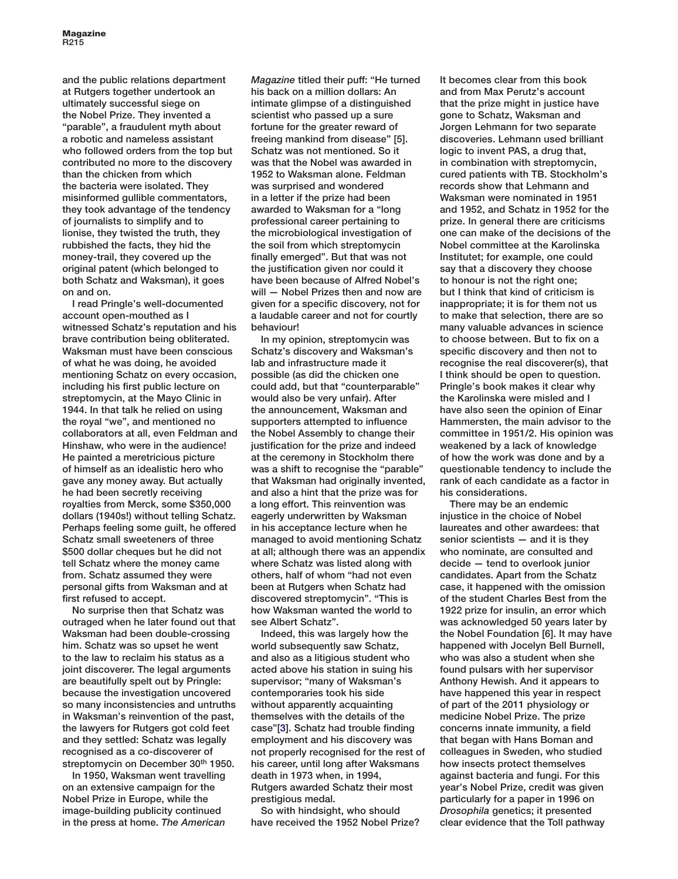and the public relations department at Rutgers together undertook an ultimately successful siege on the Nobel Prize. They invented a "parable", a fraudulent myth about a robotic and nameless assistant who followed orders from the top but contributed no more to the discovery than the chicken from which the bacteria were isolated. They misinformed gullible commentators, they took advantage of the tendency of journalists to simplify and to lionise, they twisted the truth, they rubbished the facts, they hid the money-trail, they covered up the original patent (which belonged to both Schatz and Waksman), it goes on and on.

I read Pringle's well-documented account open-mouthed as I witnessed Schatz's reputation and his brave contribution being obliterated. Waksman must have been conscious of what he was doing, he avoided mentioning Schatz on every occasion, including his first public lecture on streptomycin, at the Mayo Clinic in 1944. In that talk he relied on using the royal "we", and mentioned no collaborators at all, even Feldman and Hinshaw, who were in the audience! He painted a meretricious picture of himself as an idealistic hero who gave any money away. But actually he had been secretly receiving royalties from Merck, some \$350,000 dollars (1940s!) without telling Schatz. Perhaps feeling some guilt, he offered Schatz small sweeteners of three \$500 dollar cheques but he did not tell Schatz where the money came from. Schatz assumed they were personal gifts from Waksman and at first refused to accept.

No surprise then that Schatz was outraged when he later found out that Waksman had been double-crossing him. Schatz was so upset he went to the law to reclaim his status as a joint discoverer. The legal arguments are beautifully spelt out by Pringle: because the investigation uncovered so many inconsistencies and untruths in Waksman's reinvention of the past, the lawyers for Rutgers got cold feet and they settled: Schatz was legally recognised as a co-discoverer of streptomycin on December 30th 1950.

In 1950, Waksman went travelling on an extensive campaign for the Nobel Prize in Europe, while the image-building publicity continued in the press at home. *The American* 

*Magazine* titled their puff: "He turned his back on a million dollars: An intimate glimpse of a distinguished scientist who passed up a sure fortune for the greater reward of freeing mankind from disease" [5]. Schatz was not mentioned. So it was that the Nobel was awarded in 1952 to Waksman alone. Feldman was surprised and wondered in a letter if the prize had been awarded to Waksman for a "long professional career pertaining to the microbiological investigation of the soil from which streptomycin finally emerged". But that was not the justification given nor could it have been because of Alfred Nobel's will — Nobel Prizes then and now are given for a specific discovery, not for a laudable career and not for courtly behaviour!

In my opinion, streptomycin was Schatz's discovery and Waksman's lab and infrastructure made it possible (as did the chicken one could add, but that "counterparable" would also be very unfair). After the announcement, Waksman and supporters attempted to influence the Nobel Assembly to change their justification for the prize and indeed at the ceremony in Stockholm there was a shift to recognise the "parable" that Waksman had originally invented, and also a hint that the prize was for a long effort. This reinvention was eagerly underwritten by Waksman in his acceptance lecture when he managed to avoid mentioning Schatz at all; although there was an appendix where Schatz was listed along with others, half of whom "had not even been at Rutgers when Schatz had discovered streptomycin". "This is how Waksman wanted the world to see Albert Schatz".

Indeed, this was largely how the world subsequently saw Schatz, and also as a litigious student who acted above his station in suing his supervisor; "many of Waksman's contemporaries took his side without apparently acquainting themselves with the details of the case"[3]. Schatz had trouble finding employment and his discovery was not properly recognised for the rest of his career, until long after Waksmans death in 1973 when, in 1994, Rutgers awarded Schatz their most prestigious medal.

So with hindsight, who should have received the 1952 Nobel Prize?

It becomes clear from this book and from Max Perutz's account that the prize might in justice have gone to Schatz, Waksman and Jorgen Lehmann for two separate discoveries. Lehmann used brilliant logic to invent PAS, a drug that, in combination with streptomycin, cured patients with TB. Stockholm's records show that Lehmann and Waksman were nominated in 1951 and 1952, and Schatz in 1952 for the prize. In general there are criticisms one can make of the decisions of the Nobel committee at the Karolinska Institutet; for example, one could say that a discovery they choose to honour is not the right one; but I think that kind of criticism is inappropriate; it is for them not us to make that selection, there are so many valuable advances in science to choose between. But to fix on a specific discovery and then not to recognise the real discoverer(s), that I think should be open to question. Pringle's book makes it clear why the Karolinska were misled and I have also seen the opinion of Einar Hammersten, the main advisor to the committee in 1951/2. His opinion was weakened by a lack of knowledge of how the work was done and by a questionable tendency to include the rank of each candidate as a factor in his considerations.

There may be an endemic injustice in the choice of Nobel laureates and other awardees: that senior scientists — and it is they who nominate, are consulted and decide — tend to overlook junior candidates. Apart from the Schatz case, it happened with the omission of the student Charles Best from the 1922 prize for insulin, an error which was acknowledged 50 years later by the Nobel Foundation [6]. It may have happened with Jocelyn Bell Burnell, who was also a student when she found pulsars with her supervisor Anthony Hewish. And it appears to have happened this year in respect of part of the 2011 physiology or medicine Nobel Prize. The prize concerns innate immunity, a field that began with Hans Boman and colleagues in Sweden, who studied how insects protect themselves against bacteria and fungi. For this year's Nobel Prize, credit was given particularly for a paper in 1996 on *Drosophila* genetics; it presented clear evidence that the Toll pathway